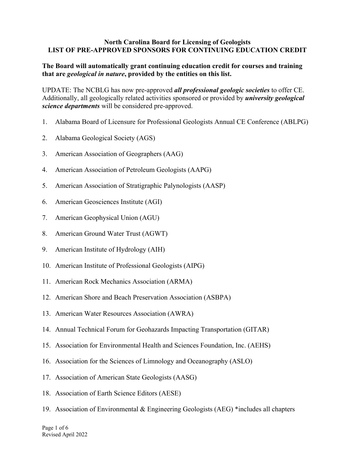## **North Carolina Board for Licensing of Geologists LIST OF PRE-APPROVED SPONSORS FOR CONTINUING EDUCATION CREDIT**

## **The Board will automatically grant continuing education credit for courses and training that are** *geological in nature***, provided by the entities on this list.**

UPDATE: The NCBLG has now pre-approved *all professional geologic societies* to offer CE. Additionally, all geologically related activities sponsored or provided by *university geological science departments* will be considered pre-approved.

- 1. Alabama Board of Licensure for Professional Geologists Annual CE Conference (ABLPG)
- 2. Alabama Geological Society (AGS)
- 3. American Association of Geographers (AAG)
- 4. American Association of Petroleum Geologists (AAPG)
- 5. American Association of Stratigraphic Palynologists (AASP)
- 6. American Geosciences Institute (AGI)
- 7. American Geophysical Union (AGU)
- 8. American Ground Water Trust (AGWT)
- 9. American Institute of Hydrology (AIH)
- 10. American Institute of Professional Geologists (AIPG)
- 11. American Rock Mechanics Association (ARMA)
- 12. American Shore and Beach Preservation Association (ASBPA)
- 13. American Water Resources Association (AWRA)
- 14. Annual Technical Forum for Geohazards Impacting Transportation (GITAR)
- 15. Association for Environmental Health and Sciences Foundation, Inc. (AEHS)
- 16. Association for the Sciences of Limnology and Oceanography (ASLO)
- 17. Association of American State Geologists (AASG)
- 18. Association of Earth Science Editors (AESE)
- 19. Association of Environmental & Engineering Geologists (AEG) \*includes all chapters

Page 1 of 6 Revised April 2022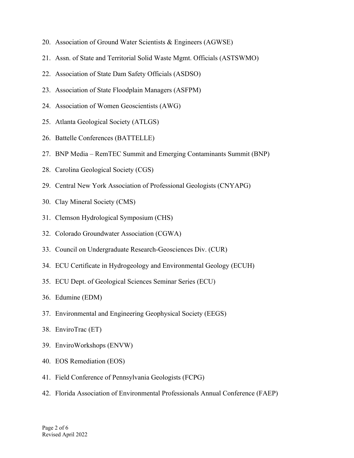- 20. Association of Ground Water Scientists & Engineers (AGWSE)
- 21. Assn. of State and Territorial Solid Waste Mgmt. Officials (ASTSWMO)
- 22. Association of State Dam Safety Officials (ASDSO)
- 23. Association of State Floodplain Managers (ASFPM)
- 24. Association of Women Geoscientists (AWG)
- 25. Atlanta Geological Society (ATLGS)
- 26. Battelle Conferences (BATTELLE)
- 27. BNP Media RemTEC Summit and Emerging Contaminants Summit (BNP)
- 28. Carolina Geological Society (CGS)
- 29. Central New York Association of Professional Geologists (CNYAPG)
- 30. Clay Mineral Society (CMS)
- 31. Clemson Hydrological Symposium (CHS)
- 32. Colorado Groundwater Association (CGWA)
- 33. Council on Undergraduate Research-Geosciences Div. (CUR)
- 34. ECU Certificate in Hydrogeology and Environmental Geology (ECUH)
- 35. ECU Dept. of Geological Sciences Seminar Series (ECU)
- 36. Edumine (EDM)
- 37. Environmental and Engineering Geophysical Society (EEGS)
- 38. EnviroTrac (ET)
- 39. EnviroWorkshops (ENVW)
- 40. EOS Remediation (EOS)
- 41. Field Conference of Pennsylvania Geologists (FCPG)
- 42. Florida Association of Environmental Professionals Annual Conference (FAEP)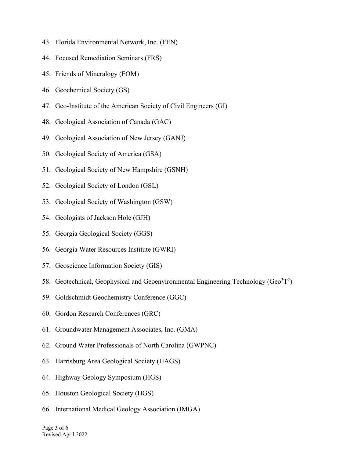- 43. Florida Environmental Network, Inc. (FEN)
- 44. Focused Remediation Seminars (FRS)
- 45. Friends of Mineralogy (FOM)
- 46. Geochemical Society (GS)
- 47. Geo-Institute of the American Society of Civil Engineers (GI)
- 48. Geological Association of Canada (GAC)
- 49. Geological Association of New Jersey (GANJ)
- 50. Geological Society of America (GSA)
- 51. Geological Society of New Hampshire (GSNH)
- 52. Geological Society of London (GSL)
- 53. Geological Society of Washington (GSW)
- 54. Geologists of Jackson Hole (GJH)
- 55. Georgia Geological Society (GGS)
- 56. Georgia Water Resources Institute (GWRI)
- 57. Geoscience Information Society (GIS)
- 58. Geotechnical, Geophysical and Geoenvironmental Engineering Technology (Geo ${}^{3}T^{2}$ )
- 59. Goldschmidt Geochemistry Conference (GGC)
- 60. Gordon Research Conferences (GRC)
- 61. Groundwater Management Associates, Inc. (GMA)
- 62. Ground Water Professionals of North Carolina (GWPNC)
- 63. Harrisburg Area Geological Society (HAGS)
- 64. Highway Geology Symposium (HGS)
- 65. Houston Geological Society (HGS)
- 66. International Medical Geology Association (IMGA)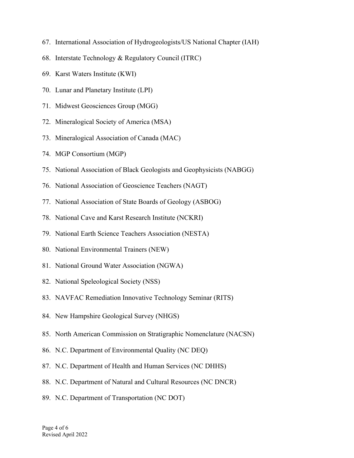- 67. International Association of Hydrogeologists/US National Chapter (IAH)
- 68. Interstate Technology & Regulatory Council (ITRC)
- 69. Karst Waters Institute (KWI)
- 70. Lunar and Planetary Institute (LPI)
- 71. Midwest Geosciences Group (MGG)
- 72. Mineralogical Society of America (MSA)
- 73. Mineralogical Association of Canada (MAC)
- 74. MGP Consortium (MGP)
- 75. National Association of Black Geologists and Geophysicists (NABGG)
- 76. National Association of Geoscience Teachers (NAGT)
- 77. National Association of State Boards of Geology (ASBOG)
- 78. National Cave and Karst Research Institute (NCKRI)
- 79. National Earth Science Teachers Association (NESTA)
- 80. National Environmental Trainers (NEW)
- 81. National Ground Water Association (NGWA)
- 82. National Speleological Society (NSS)
- 83. NAVFAC Remediation Innovative Technology Seminar (RITS)
- 84. New Hampshire Geological Survey (NHGS)
- 85. North American Commission on Stratigraphic Nomenclature (NACSN)
- 86. N.C. Department of Environmental Quality (NC DEQ)
- 87. N.C. Department of Health and Human Services (NC DHHS)
- 88. N.C. Department of Natural and Cultural Resources (NC DNCR)
- 89. N.C. Department of Transportation (NC DOT)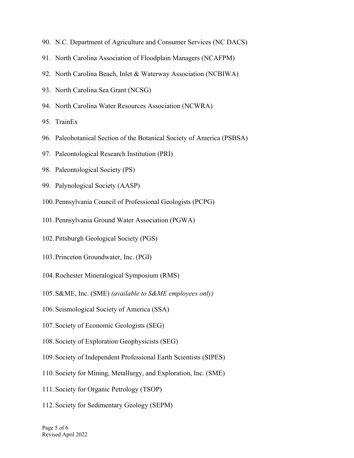- 90. N.C. Department of Agriculture and Consumer Services (NC DACS)
- 91. North Carolina Association of Floodplain Managers (NCAFPM)
- 92. North Carolina Beach, Inlet & Waterway Association (NCBIWA)
- 93. North Carolina Sea Grant (NCSG)
- 94. North Carolina Water Resources Association (NCWRA)
- 95. TrainEx
- 96. Paleobotanical Section of the Botanical Society of America (PSBSA)
- 97. Paleontological Research Institution (PRI)
- 98. Paleontological Society (PS)
- 99. Palynological Society (AASP)
- 100.Pennsylvania Council of Professional Geologists (PCPG)
- 101.Pennsylvania Ground Water Association (PGWA)
- 102.Pittsburgh Geological Society (PGS)
- 103.Princeton Groundwater, Inc. (PGI)
- 104.Rochester Mineralogical Symposium (RMS)
- 105.S&ME, Inc. (SME) *(available to S&ME employees only)*
- 106.Seismological Society of America (SSA)
- 107.Society of Economic Geologists (SEG)
- 108.Society of Exploration Geophysicists (SEG)
- 109.Society of Independent Professional Earth Scientists (SIPES)
- 110.Society for Mining, Metallurgy, and Exploration, Inc. (SME)
- 111.Society for Organic Petrology (TSOP)
- 112.Society for Sedimentary Geology (SEPM)

Page 5 of 6 Revised April 2022